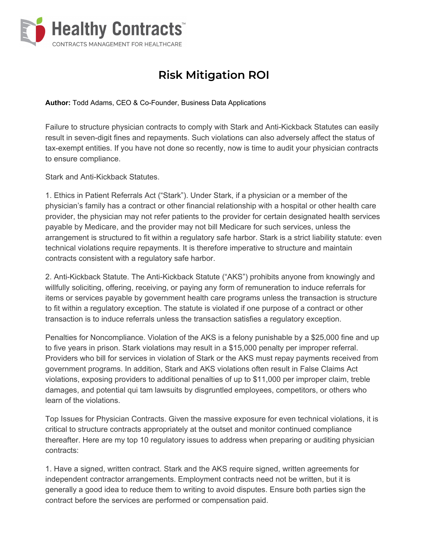

## **Risk Mitigation ROI**

**Author:** Todd Adams, CEO & Co-Founder, Business Data Applications

Failure to structure physician contracts to comply with Stark and Anti-Kickback Statutes can easily result in seven-digit fines and repayments. Such violations can also adversely affect the status of tax-exempt entities. If you have not done so recently, now is time to audit your physician contracts to ensure compliance.

Stark and Anti-Kickback Statutes.

1. Ethics in Patient Referrals Act ("Stark"). Under Stark, if a physician or a member of the physician's family has a contract or other financial relationship with a hospital or other health care provider, the physician may not refer patients to the provider for certain designated health services payable by Medicare, and the provider may not bill Medicare for such services, unless the arrangement is structured to fit within a regulatory safe harbor. Stark is a strict liability statute: even technical violations require repayments. It is therefore imperative to structure and maintain contracts consistent with a regulatory safe harbor.

2. Anti-Kickback Statute. The Anti-Kickback Statute ("AKS") prohibits anyone from knowingly and willfully soliciting, offering, receiving, or paying any form of remuneration to induce referrals for items or services payable by government health care programs unless the transaction is structure to fit within a regulatory exception. The statute is violated if one purpose of a contract or other transaction is to induce referrals unless the transaction satisfies a regulatory exception.

Penalties for Noncompliance. Violation of the AKS is a felony punishable by a \$25,000 fine and up to five years in prison. Stark violations may result in a \$15,000 penalty per improper referral. Providers who bill for services in violation of Stark or the AKS must repay payments received from government programs. In addition, Stark and AKS violations often result in False Claims Act violations, exposing providers to additional penalties of up to \$11,000 per improper claim, treble damages, and potential qui tam lawsuits by disgruntled employees, competitors, or others who learn of the violations.

Top Issues for Physician Contracts. Given the massive exposure for even technical violations, it is critical to structure contracts appropriately at the outset and monitor continued compliance thereafter. Here are my top 10 regulatory issues to address when preparing or auditing physician contracts:

1. Have a signed, written contract. Stark and the AKS require signed, written agreements for independent contractor arrangements. Employment contracts need not be written, but it is generally a good idea to reduce them to writing to avoid disputes. Ensure both parties sign the contract before the services are performed or compensation paid.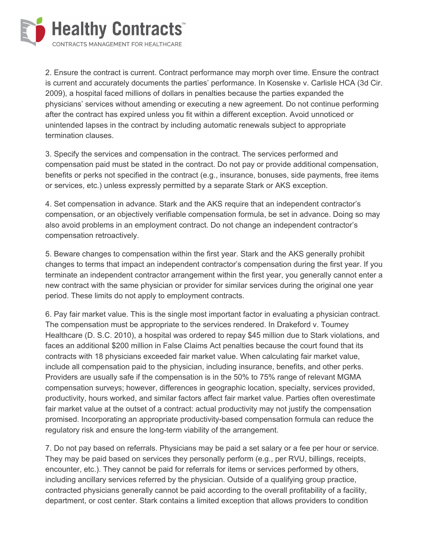

2. Ensure the contract is current. Contract performance may morph over time. Ensure the contract is current and accurately documents the parties' performance. In Kosenske v. Carlisle HCA (3d Cir. 2009), a hospital faced millions of dollars in penalties because the parties expanded the physicians' services without amending or executing a new agreement. Do not continue performing after the contract has expired unless you fit within a different exception. Avoid unnoticed or unintended lapses in the contract by including automatic renewals subject to appropriate termination clauses.

3. Specify the services and compensation in the contract. The services performed and compensation paid must be stated in the contract. Do not pay or provide additional compensation, benefits or perks not specified in the contract (e.g., insurance, bonuses, side payments, free items or services, etc.) unless expressly permitted by a separate Stark or AKS exception.

4. Set compensation in advance. Stark and the AKS require that an independent contractor's compensation, or an objectively verifiable compensation formula, be set in advance. Doing so may also avoid problems in an employment contract. Do not change an independent contractor's compensation retroactively.

5. Beware changes to compensation within the first year. Stark and the AKS generally prohibit changes to terms that impact an independent contractor's compensation during the first year. If you terminate an independent contractor arrangement within the first year, you generally cannot enter a new contract with the same physician or provider for similar services during the original one year period. These limits do not apply to employment contracts.

6. Pay fair market value. This is the single most important factor in evaluating a physician contract. The compensation must be appropriate to the services rendered. In Drakeford v. Toumey Healthcare (D. S.C. 2010), a hospital was ordered to repay \$45 million due to Stark violations, and faces an additional \$200 million in False Claims Act penalties because the court found that its contracts with 18 physicians exceeded fair market value. When calculating fair market value, include all compensation paid to the physician, including insurance, benefits, and other perks. Providers are usually safe if the compensation is in the 50% to 75% range of relevant MGMA compensation surveys; however, differences in geographic location, specialty, services provided, productivity, hours worked, and similar factors affect fair market value. Parties often overestimate fair market value at the outset of a contract: actual productivity may not justify the compensation promised. Incorporating an appropriate productivity-based compensation formula can reduce the regulatory risk and ensure the long-term viability of the arrangement.

7. Do not pay based on referrals. Physicians may be paid a set salary or a fee per hour or service. They may be paid based on services they personally perform (e.g., per RVU, billings, receipts, encounter, etc.). They cannot be paid for referrals for items or services performed by others, including ancillary services referred by the physician. Outside of a qualifying group practice, contracted physicians generally cannot be paid according to the overall profitability of a facility, department, or cost center. Stark contains a limited exception that allows providers to condition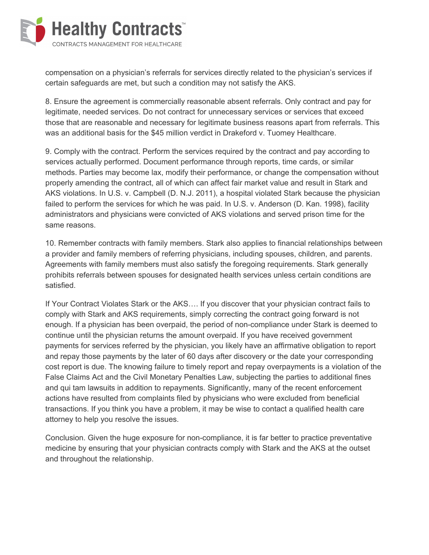

compensation on a physician's referrals for services directly related to the physician's services if certain safeguards are met, but such a condition may not satisfy the AKS.

8. Ensure the agreement is commercially reasonable absent referrals. Only contract and pay for legitimate, needed services. Do not contract for unnecessary services or services that exceed those that are reasonable and necessary for legitimate business reasons apart from referrals. This was an additional basis for the \$45 million verdict in Drakeford v. Tuomey Healthcare.

9. Comply with the contract. Perform the services required by the contract and pay according to services actually performed. Document performance through reports, time cards, or similar methods. Parties may become lax, modify their performance, or change the compensation without properly amending the contract, all of which can affect fair market value and result in Stark and AKS violations. In U.S. v. Campbell (D. N.J. 2011), a hospital violated Stark because the physician failed to perform the services for which he was paid. In U.S. v. Anderson (D. Kan. 1998), facility administrators and physicians were convicted of AKS violations and served prison time for the same reasons.

10. Remember contracts with family members. Stark also applies to financial relationships between a provider and family members of referring physicians, including spouses, children, and parents. Agreements with family members must also satisfy the foregoing requirements. Stark generally prohibits referrals between spouses for designated health services unless certain conditions are satisfied.

If Your Contract Violates Stark or the AKS…. If you discover that your physician contract fails to comply with Stark and AKS requirements, simply correcting the contract going forward is not enough. If a physician has been overpaid, the period of non-compliance under Stark is deemed to continue until the physician returns the amount overpaid. If you have received government payments for services referred by the physician, you likely have an affirmative obligation to report and repay those payments by the later of 60 days after discovery or the date your corresponding cost report is due. The knowing failure to timely report and repay overpayments is a violation of the False Claims Act and the Civil Monetary Penalties Law, subjecting the parties to additional fines and qui tam lawsuits in addition to repayments. Significantly, many of the recent enforcement actions have resulted from complaints filed by physicians who were excluded from beneficial transactions. If you think you have a problem, it may be wise to contact a qualified health care attorney to help you resolve the issues.

Conclusion. Given the huge exposure for non-compliance, it is far better to practice preventative medicine by ensuring that your physician contracts comply with Stark and the AKS at the outset and throughout the relationship.